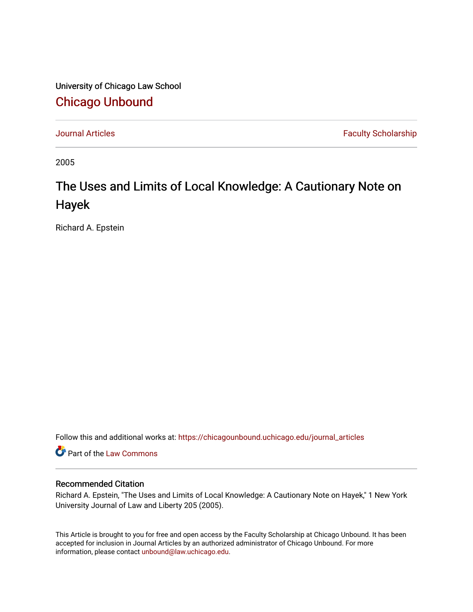University of Chicago Law School [Chicago Unbound](https://chicagounbound.uchicago.edu/)

[Journal Articles](https://chicagounbound.uchicago.edu/journal_articles) **Faculty Scholarship Journal Articles** 

2005

## The Uses and Limits of Local Knowledge: A Cautionary Note on Hayek

Richard A. Epstein

Follow this and additional works at: [https://chicagounbound.uchicago.edu/journal\\_articles](https://chicagounbound.uchicago.edu/journal_articles?utm_source=chicagounbound.uchicago.edu%2Fjournal_articles%2F1353&utm_medium=PDF&utm_campaign=PDFCoverPages) 

Part of the [Law Commons](http://network.bepress.com/hgg/discipline/578?utm_source=chicagounbound.uchicago.edu%2Fjournal_articles%2F1353&utm_medium=PDF&utm_campaign=PDFCoverPages)

## Recommended Citation

Richard A. Epstein, "The Uses and Limits of Local Knowledge: A Cautionary Note on Hayek," 1 New York University Journal of Law and Liberty 205 (2005).

This Article is brought to you for free and open access by the Faculty Scholarship at Chicago Unbound. It has been accepted for inclusion in Journal Articles by an authorized administrator of Chicago Unbound. For more information, please contact [unbound@law.uchicago.edu](mailto:unbound@law.uchicago.edu).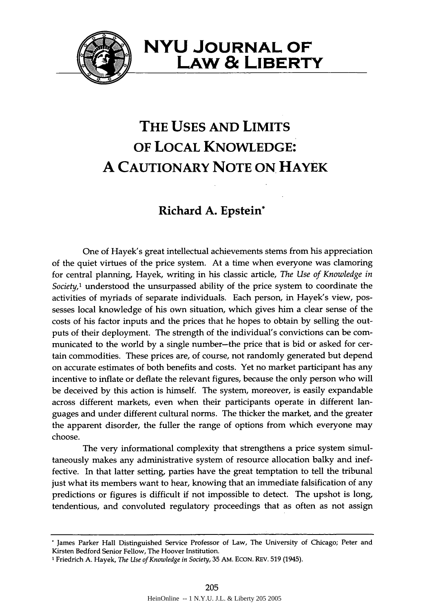

**NYU JOURNAL OF LAW & LIBERTY**

## **THE USES AND LIMITS OF LOCAL KNOWLEDGE: A CAUTIONARY NOTE ON HAYEK**

## **Richard A. Epstein\***

One of Hayek's great intellectual achievements stems from his appreciation of the quiet virtues of the price system. At a time when everyone was clamoring for central planning, Hayek, writing in his classic article, *The Use of Knowledge in Society,'* understood the unsurpassed ability of the price system to coordinate the activities of myriads of separate individuals. Each person, in Hayek's view, possesses local knowledge of his own situation, which gives him a clear sense of the costs of his factor inputs and the prices that he hopes to obtain by selling the outputs of their deployment. The strength of the individual's convictions can be communicated to the world by a single number-the price that is bid or asked for certain commodities. These prices are, of course, not randomly generated but depend on accurate estimates of both benefits and costs. Yet no market participant has any incentive to inflate or deflate the relevant figures, because the only person who will be deceived by this action is himself. The system, moreover, is easily expandable across different markets, even when their participants operate in different languages and under different cultural norms. The thicker the market, and the greater the apparent disorder, the fuller the range of options from which everyone may choose.

The very informational complexity that strengthens a price system simultaneously makes any administrative system of resource allocation balky and ineffective. In that latter setting, parties have the great temptation to tell the tribunal just what its members want to hear, knowing that an immediate falsification of any predictions or figures is difficult **if** not impossible to detect. The upshot is long, tendentious, and convoluted regulatory proceedings that as often as not assign

<sup>&#</sup>x27; James Parker Hall Distinguished Service Professor of Law, The University of Chicago; Peter and Kirsten Bedford Senior Fellow, The Hoover Institution.

**<sup>1</sup>** Friedrich A. Hayek, *The Use of Knowledge in Society,* **35** AM. ECON. REV. **519** (1945).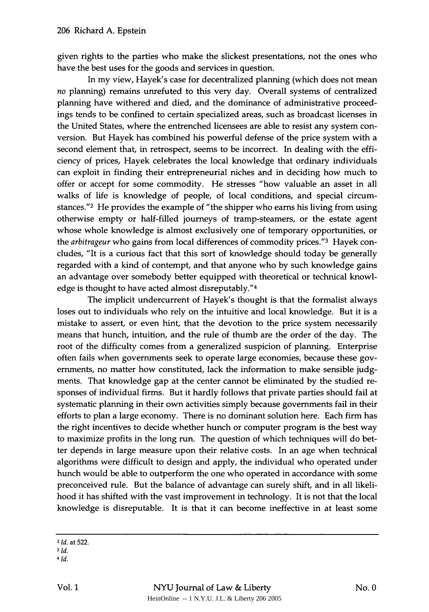given rights to the parties who make the slickest presentations, not the ones who have the best uses for the goods and services in question.

In my view, Hayek's case for decentralized planning (which does not mean *no* planning) remains unrefuted to this very day. Overall systems of centralized planning have withered and died, and the dominance of administrative proceedings tends to be confined to certain specialized areas, such as broadcast licenses in the United States, where the entrenched licensees are able to resist any system conversion. But Hayek has combined his powerful defense of the price system with a second element that, in retrospect, seems to be incorrect. In dealing with the efficiency of prices, Hayek celebrates the local knowledge that ordinary individuals can exploit in finding their entrepreneurial niches and in deciding how much to offer or accept for some commodity. He stresses "how valuable an asset in all walks of life is knowledge of people, of local conditions, and special circumstances."<sup>2</sup> He provides the example of "the shipper who earns his living from using otherwise empty or half-filled journeys of tramp-steamers, or the estate agent whose whole knowledge is almost exclusively one of temporary opportunities, or the *arbitrageur* who gains from local differences of commodity prices."<sup>3</sup> Hayek concludes, "It is a curious fact that this sort of knowledge should today be generally regarded with a kind of contempt, and that anyone who by such knowledge gains an advantage over somebody better equipped with theoretical or technical knowledge is thought to have acted almost disreputably." <sup>4</sup>

The implicit undercurrent of Hayek's thought is that the formalist always loses out to individuals who rely on the intuitive and local knowledge. But it is a mistake to assert, or even hint, that the devotion to the price system necessarily means that hunch, intuition, and the rule of thumb are the order of the day. The root of the difficulty comes from a generalized suspicion of planning. Enterprise often fails when governments seek to operate large economies, because these governments, no matter how constituted, lack the information to make sensible judgments. That knowledge gap at the center cannot be eliminated by the studied responses of individual firms. But it hardly follows that private parties should fail at systematic planning in their own activities simply because governments fail in their efforts to plan a large economy. There is no dominant solution here. Each firm has the right incentives to decide whether hunch or computer program is the best way to maximize profits in the long run. The question of which techniques will do better depends in large measure upon their relative costs. In an age when technical algorithms were difficult to design and apply, the individual who operated under hunch would be able to outperform the one who operated in accordance with some preconceived rule. But the balance of advantage can surely shift, and in all likelihood it has shifted with the vast improvement in technology. It is not that the local knowledge is disreputable. It is that it can become ineffective in at least some

**<sup>2</sup>** Id. at **522.**

**<sup>3</sup>** *Id.*

*<sup>4</sup>Id.*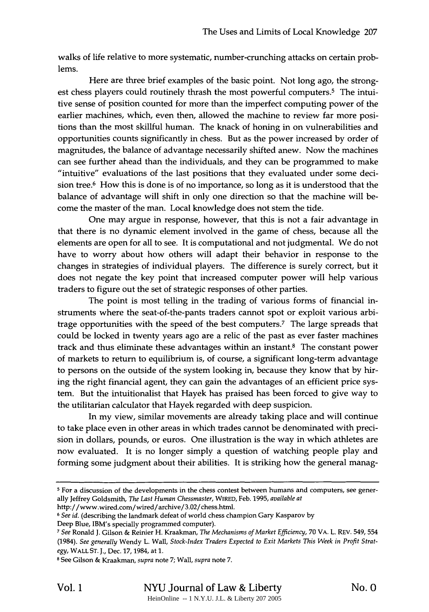walks of life relative to more systematic, number-crunching attacks on certain problems.

Here are three brief examples of the basic point. Not long ago, the strongest chess players could routinely thrash the most powerful computers.<sup>5</sup> The intuitive sense of position counted for more than the imperfect computing power of the earlier machines, which, even then, allowed the machine to review far more positions than the most skillful human. The knack of honing in on vulnerabilities and opportunities counts significantly in chess. But as the power increased by order of magnitudes, the balance of advantage necessarily shifted anew. Now the machines can see further ahead than the individuals, and they can be programmed to make "intuitive" evaluations of the last positions that they evaluated under some decision tree.<sup>6</sup> How this is done is of no importance, so long as it is understood that the balance of advantage will shift in only one direction so that the machine will become the master of the man. Local knowledge does not stem the tide.

One may argue in response, however, that this is not a fair advantage in that there is no dynamic element involved in the game of chess, because all the elements are open for all to see. It is computational and not judgmental. We do not have to worry about how others will adapt their behavior in response to the changes in strategies of individual players. The difference is surely correct, but it does not negate the key point that increased computer power will help various traders to figure out the set of strategic responses of other parties.

The point is most telling in the trading of various forms of financial instruments where the seat-of-the-pants traders cannot spot or exploit various arbitrage opportunities with the speed of the best computers.7 The large spreads that could be locked in twenty years ago are a relic of the past as ever faster machines track and thus eliminate these advantages within an instant. $8$  The constant power of markets to return to equilibrium is, of course, a significant long-term advantage to persons on the outside of the system looking in, because they know that by hiring the right financial agent, they can gain the advantages of an efficient price system. But the intuitionalist that Hayek has praised has been forced to give way to the utilitarian calculator that Hayek regarded with deep suspicion.

In my view, similar movements are already taking place and will continue to take place even in other areas in which trades cannot be denominated with precision in dollars, pounds, or euros. One illustration is the way in which athletes are now evaluated. It is no longer simply a question of watching people play and forming some judgment about their abilities. It is striking how the general manag-

http://www.wired.com/wired/archive/3.02/chess.html.

Deep Blue, IBM's specially programmed computer).

**<sup>5</sup>** For a discussion of the developments in the chess contest between humans and computers, see generally Jeffrey Goldsmith, *The Last Human Chessmaster,* WIRED, Feb. 1995, *available at*

**<sup>6</sup>** *See id.* (describing the landmark defeat of world chess champion Gary Kasparov by

**<sup>7</sup>** *See* Ronald J. Gilson & Reinier H. Kraakinan, *The Mechanisms of Market Efficiency,* **70** VA. L. REV. 549, 554 (1984). *See generally* Wendy L. Wall, *Stock-Index Traders Expected to Exit Markets This Week in Profit Strategy,* WALL **ST. J.,** Dec. 17, 1984, at 1.

<sup>8</sup> See Gilson & Kraakman, *supra* note 7; Wall, *supra* note 7.